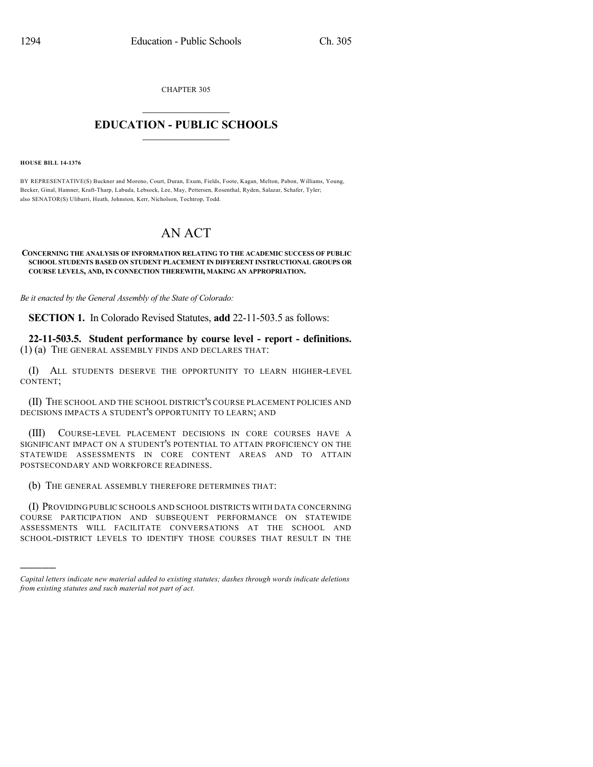CHAPTER 305

## $\mathcal{L}_\text{max}$  . The set of the set of the set of the set of the set of the set of the set of the set of the set of the set of the set of the set of the set of the set of the set of the set of the set of the set of the set **EDUCATION - PUBLIC SCHOOLS**  $\_$   $\_$   $\_$   $\_$   $\_$   $\_$   $\_$   $\_$   $\_$

**HOUSE BILL 14-1376**

)))))

BY REPRESENTATIVE(S) Buckner and Moreno, Court, Duran, Exum, Fields, Foote, Kagan, Melton, Pabon, Williams, Young, Becker, Ginal, Hamner, Kraft-Tharp, Labuda, Lebsock, Lee, May, Pettersen, Rosenthal, Ryden, Salazar, Schafer, Tyler; also SENATOR(S) Ulibarri, Heath, Johnston, Kerr, Nicholson, Tochtrop, Todd.

## AN ACT

## **CONCERNING THE ANALYSIS OF INFORMATION RELATING TO THE ACADEMIC SUCCESS OF PUBLIC SCHOOL STUDENTS BASED ON STUDENT PLACEMENT IN DIFFERENT INSTRUCTIONAL GROUPS OR COURSE LEVELS, AND, IN CONNECTION THEREWITH, MAKING AN APPROPRIATION.**

*Be it enacted by the General Assembly of the State of Colorado:*

**SECTION 1.** In Colorado Revised Statutes, **add** 22-11-503.5 as follows:

**22-11-503.5. Student performance by course level - report - definitions.** (1) (a) THE GENERAL ASSEMBLY FINDS AND DECLARES THAT:

(I) ALL STUDENTS DESERVE THE OPPORTUNITY TO LEARN HIGHER-LEVEL CONTENT;

(II) THE SCHOOL AND THE SCHOOL DISTRICT'S COURSE PLACEMENT POLICIES AND DECISIONS IMPACTS A STUDENT'S OPPORTUNITY TO LEARN; AND

(III) COURSE-LEVEL PLACEMENT DECISIONS IN CORE COURSES HAVE A SIGNIFICANT IMPACT ON A STUDENT'S POTENTIAL TO ATTAIN PROFICIENCY ON THE STATEWIDE ASSESSMENTS IN CORE CONTENT AREAS AND TO ATTAIN POSTSECONDARY AND WORKFORCE READINESS.

(b) THE GENERAL ASSEMBLY THEREFORE DETERMINES THAT:

(I) PROVIDING PUBLIC SCHOOLS AND SCHOOL DISTRICTS WITH DATA CONCERNING COURSE PARTICIPATION AND SUBSEQUENT PERFORMANCE ON STATEWIDE ASSESSMENTS WILL FACILITATE CONVERSATIONS AT THE SCHOOL AND SCHOOL-DISTRICT LEVELS TO IDENTIFY THOSE COURSES THAT RESULT IN THE

*Capital letters indicate new material added to existing statutes; dashes through words indicate deletions from existing statutes and such material not part of act.*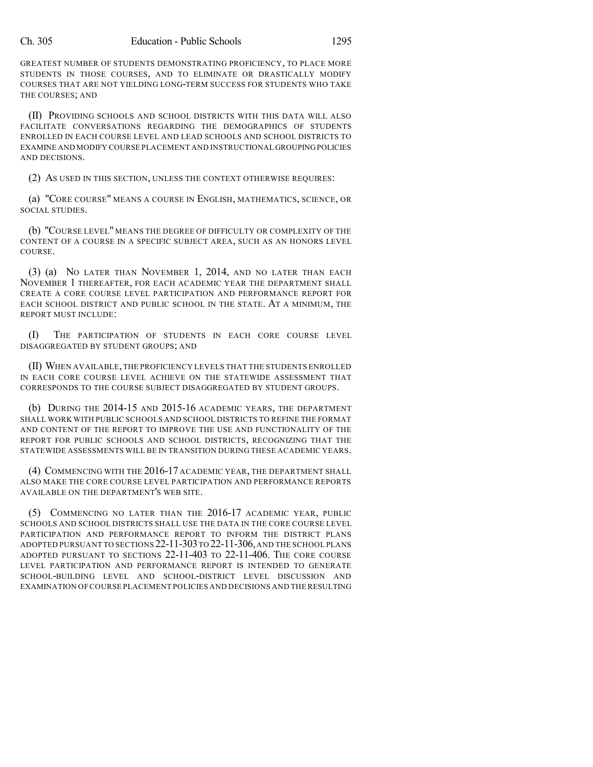GREATEST NUMBER OF STUDENTS DEMONSTRATING PROFICIENCY, TO PLACE MORE STUDENTS IN THOSE COURSES, AND TO ELIMINATE OR DRASTICALLY MODIFY COURSES THAT ARE NOT YIELDING LONG-TERM SUCCESS FOR STUDENTS WHO TAKE THE COURSES; AND

(II) PROVIDING SCHOOLS AND SCHOOL DISTRICTS WITH THIS DATA WILL ALSO FACILITATE CONVERSATIONS REGARDING THE DEMOGRAPHICS OF STUDENTS ENROLLED IN EACH COURSE LEVEL AND LEAD SCHOOLS AND SCHOOL DISTRICTS TO EXAMINE AND MODIFY COURSE PLACEMENT AND INSTRUCTIONAL GROUPING POLICIES AND DECISIONS.

(2) AS USED IN THIS SECTION, UNLESS THE CONTEXT OTHERWISE REQUIRES:

(a) "CORE COURSE" MEANS A COURSE IN ENGLISH, MATHEMATICS, SCIENCE, OR SOCIAL STUDIES.

(b) "COURSE LEVEL" MEANS THE DEGREE OF DIFFICULTY OR COMPLEXITY OF THE CONTENT OF A COURSE IN A SPECIFIC SUBJECT AREA, SUCH AS AN HONORS LEVEL COURSE.

(3) (a) NO LATER THAN NOVEMBER 1, 2014, AND NO LATER THAN EACH NOVEMBER 1 THEREAFTER, FOR EACH ACADEMIC YEAR THE DEPARTMENT SHALL CREATE A CORE COURSE LEVEL PARTICIPATION AND PERFORMANCE REPORT FOR EACH SCHOOL DISTRICT AND PUBLIC SCHOOL IN THE STATE. AT A MINIMUM, THE REPORT MUST INCLUDE:

(I) THE PARTICIPATION OF STUDENTS IN EACH CORE COURSE LEVEL DISAGGREGATED BY STUDENT GROUPS; AND

(II) WHEN AVAILABLE,THE PROFICIENCY LEVELS THAT THE STUDENTS ENROLLED IN EACH CORE COURSE LEVEL ACHIEVE ON THE STATEWIDE ASSESSMENT THAT CORRESPONDS TO THE COURSE SUBJECT DISAGGREGATED BY STUDENT GROUPS.

(b) DURING THE 2014-15 AND 2015-16 ACADEMIC YEARS, THE DEPARTMENT SHALL WORK WITH PUBLIC SCHOOLS AND SCHOOL DISTRICTS TO REFINE THE FORMAT AND CONTENT OF THE REPORT TO IMPROVE THE USE AND FUNCTIONALITY OF THE REPORT FOR PUBLIC SCHOOLS AND SCHOOL DISTRICTS, RECOGNIZING THAT THE STATEWIDE ASSESSMENTS WILL BE IN TRANSITION DURING THESE ACADEMIC YEARS.

(4) COMMENCING WITH THE 2016-17 ACADEMIC YEAR, THE DEPARTMENT SHALL ALSO MAKE THE CORE COURSE LEVEL PARTICIPATION AND PERFORMANCE REPORTS AVAILABLE ON THE DEPARTMENT'S WEB SITE.

(5) COMMENCING NO LATER THAN THE 2016-17 ACADEMIC YEAR, PUBLIC SCHOOLS AND SCHOOL DISTRICTS SHALL USE THE DATA IN THE CORE COURSE LEVEL PARTICIPATION AND PERFORMANCE REPORT TO INFORM THE DISTRICT PLANS ADOPTED PURSUANT TO SECTIONS 22-11-303 TO 22-11-306, AND THE SCHOOL PLANS ADOPTED PURSUANT TO SECTIONS 22-11-403 TO 22-11-406. THE CORE COURSE LEVEL PARTICIPATION AND PERFORMANCE REPORT IS INTENDED TO GENERATE SCHOOL-BUILDING LEVEL AND SCHOOL-DISTRICT LEVEL DISCUSSION AND EXAMINATION OF COURSE PLACEMENT POLICIES AND DECISIONS AND THE RESULTING